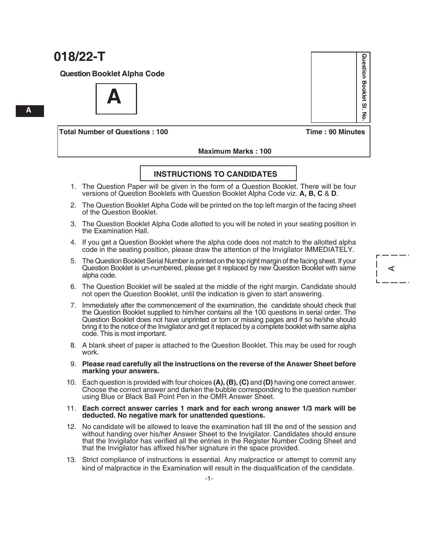**Question Booklet Alpha Code**

**A**

**Total Number of Questions : 100 Time : 90 Minutes**

#### **Maximum Marks : 100**

### **INSTRUCTIONS TO CANDIDATES**

- 1. The Question Paper will be given in the form of a Question Booklet. There will be four versions of Question Booklets with Question Booklet Alpha Code viz. **A, B, C** & **D**.
- 2. The Question Booklet Alpha Code will be printed on the top left margin of the facing sheet of the Question Booklet.
- 3. The Question Booklet Alpha Code allotted to you will be noted in your seating position in the Examination Hall.
- 4. If you get a Question Booklet where the alpha code does not match to the allotted alpha code in the seating position, please draw the attention of the Invigilator IMMEDIATELY.
- 5. The Question Booklet Serial Number is printed on the top right margin of the facing sheet. If your Question Booklet is un-numbered, please get it replaced by new Question Booklet with same alpha code.
- 6. The Question Booklet will be sealed at the middle of the right margin. Candidate should not open the Question Booklet, until the indication is given to start answering.
- 7. Immediately after the commencement of the examination, the candidate should check that the Question Booklet supplied to him/her contains all the 100 questions in serial order. The Question Booklet does not have unprinted or torn or missing pages and if so he/she should bring it to the notice of the Invigilator and get it replaced by a complete booklet with same alpha code. This is most important.
- 8. A blank sheet of paper is attached to the Question Booklet. This may be used for rough work.
- 9. **Please read carefully all the instructions on the reverse of the Answer Sheet before marking your answers.**
- 10. Each question is provided with four choices **(A), (B), (C)** and **(D)** having one correct answer. Choose the correct answer and darken the bubble corresponding to the question number using Blue or Black Ball Point Pen in the OMR Answer Sheet.

#### 11. **Each correct answer carries 1 mark and for each wrong answer 1/3 mark will be deducted. No negative mark for unattended questions.**

- 12. No candidate will be allowed to leave the examination hall till the end of the session and without handing over his/her Answer Sheet to the Invigilator. Candidates should ensure that the Invigilator has verified all the entries in the Register Number Coding Sheet and that the Invigilator has affixed his/her signature in the space provided.
- 13. Strict compliance of instructions is essential. Any malpractice or attempt to commit any kind of malpractice in the Examination will result in the disqualification of the candidate.

**A**

A

Question Booklet SI **Question Booklet Sl. No.**  $\overline{6}$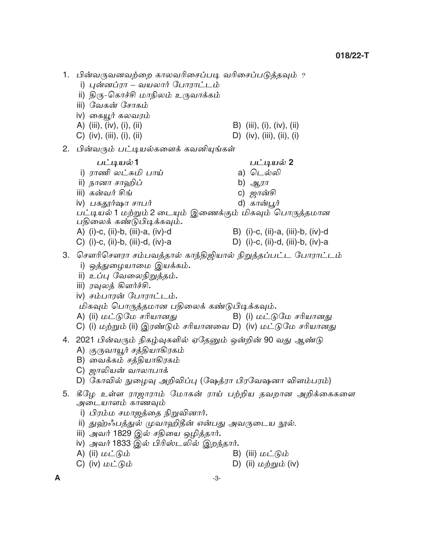1. பின்வருவனவற்றை காலவரிசைப்படி வரிசைப்படுத்தவும் ? <u>i) புன்னப்ரா – வயலார் போராட்டம்</u> ii) திரு-கொச்சி மாநிலம் உருவாக்கம் iii) வேகன் சோகம் iv) கையூர் கலவரம் A) (iii), (iv), (i), (ii) B) (iii), (i), (iv), (ii) C)  $(iv)$ ,  $(iii)$ ,  $(i)$ ,  $(ii)$ D) (iv), (iii), (ii), (i) 2. பின்வரும் பட்டியல்களைக் கவனியுங்கள் பட்டியல் 2 பட்டியல்1 i) ராணி லட்சுமி பாய் a) டெல்லி ii) நானா சாஹிப் b)  $\mathcal{L}$ iii) கன்வர் சிங் c) *ஜான்சி* iv) பகதூர்ஷா சாபர் d) கான்பூர் பட்டியல் 1 மற்றும் 2 டையும் இணைக்கும் மிகவும் பொருத்தமான பதிலைக் கண்டுபிடிக்கவும். A) (i)-c, (ii)-b, (iii)-a, (iv)-d B) (i)-c, (ii)-a, (iii)-b, (iv)-d D) (i)-c, (ii)-d, (iii)-b, (iv)-a C) (i)-c, (ii)-b, (iii)-d, (iv)-a 3. சௌரிசௌரா சம்பவத்தால் காந்திஜியால் நிறுத்தப்பட்ட போராட்டம் i) ஒத்துழையாமை இயக்கம். ii) உப்பு வேலைநிறுத்தம். iii) ரவுலத் கிளர்ச்சி. iv) சம்பாரன் போராட்டம். மிகவும் பொருத்தமான பதிலைக் கண்டுபிடிக்கவும். A) (ii) மட்டுமே சரியானது B) (i) மட்டுமே சரியானது C) (i) மற்றும் (ii) இரண்டும் சரியானவை D) (iv) மட்டுமே சரியானது 4. 2021 பின்வரும் நிகழ்வுகளில் ஏதேனும் ஒன்றின் 90 வது ஆண்டு A) குருவாயூர் சத்தியாகிரகம் B) வைக்கம் சத்தியாகிரகம் C) *ஜாலியன்* வாலாபாக் D) கோவில் நுழைவு அறிவிப்பு (ஷேத்ரா பிரவேஷனா விளம்பரம்) 5. கீழே உள்ள ராஜாராம் மோகன் ராய் பற்றிய தவறான அறிக்கைகளை அடையாளம் காணவும் i) பிரம்ம சமாஜத்தை நிறுவினார். ii) துஹ்ஃபத்துல் முவாஹிதீன் என்பது அவருடைய நூல். iii) அவர் 1829 இல் சதியை ஒழித்தார்**.** iv) அவர் 1833 இல் பிரிஸ்டலில் இறந்தார்**.** A) (ii) மட்டும் B) (iii) மட்டும் C) (iv)  $\omega \angle \omega$ D) (ii)  $\omega \dot{p}$ றும் (iv)

A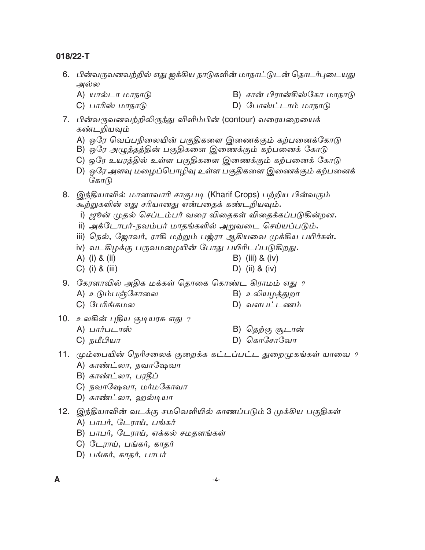- 6. பின்வருவனவற்றில் எது ஐக்கிய நாடுகளின் மாநாட்டுடன் தொடர்புடையது அல்ல
	- B) சான் பிரான்சிஸ்கோ மாநாடு A) யால்டா மாநாடு
	- C) பாரிஸ் மாநாடு
		- D) போஸ்ட்டாம் மாநாடு
- 7. பின்வருவனவற்றிலிருந்து விளிம்பின் (contour) வரையறையைக் கண்டறியவும்
	- A) ஒரே வெப்பநிலையின் பகுதிகளை இணைக்கும் கற்பனைக்கோடு
	- B) ஒரே அழுத்தத்தின் பகுதிகளை இணைக்கும் கற்பனைக் கோடு
	- C) ஒரே உயரத்தில் உள்ள பகுதிகளை இணைக்கும் கற்பனைக் கோடு
	- D) ஒரே அளவு மழைப்பொழிவு உள்ள பகுதிகளை இணைக்கும் கற்பனைக் கோடு
- 8. இந்தியாவில் மானாவாரி சாகுபடி (Kharif Crops) பற்றிய பின்வரும் கூற்றுகளின் எது சரியானது என்பதைக் கண்டறியவும்.
	- i) ஜூன் முதல் செப்டம்பர் வரை விதைகள் விதைக்கப்படுகின்றன**.**
	- ii) அக்டோபர்-நவம்பர் மாதங்களில் அறுவடை செய்யப்படும்**.**
	- iii) நெல், ஜோவர், ராகி மற்றும் பஜ்ரா ஆகியவை முக்கிய பயிர்கள்.
	- iv) வடகிழக்கு பருவமழையின் போது பயிரிடப்படுகிறது**.**
	- A) (i) & (ii) B) (iii) & (iv)
	- $C)$  (i) & (iii) D) (ii) & (iv)
- 9. கேரளாவில் அதிக மக்கள் தொகை கொண்ட கிராமம் எது ?
	- A) உடும்பஞ்சோலை
- B) உலியழத்துறா
- D) வளபட்டணம்
- 10. உலகின் புதிய குடியரசு எது ?
	- A) பார்படாஸ்

C) பேரிங்கமல

- B) தெற்கு சூடான்
- C) நமீபியா
- $D)$  கொசோவோ
- 11. மும்பையின் நெரிசலைக் குறைக்க கட்டப்பட்ட துறைமுகங்கள் யாவை ? A) காண்ட்லா, நவாஷேவா
	- B) காண்ட்லா, பரதீப்
	- C) நவாஷேவா, மர்மகோவா
	- D) காண்ட்லா, ஹல்டியா
- 12. இந்தியாவின் வடக்கு சமவெளியில் காணப்படும் 3 முக்கிய பகுதிகள்
	- A) பாபர், டேராய், பங்கர்
	- B) பாபர், டேராய், எக்கல் சமதளங்கள்
	- C) டேராய், பங்கர், காதர்
	- D) பங்கர், காதர், பாபர்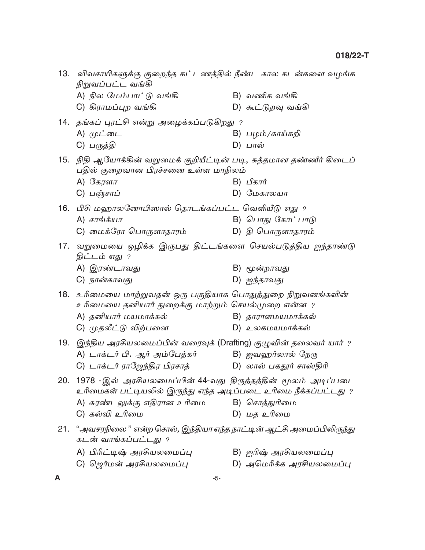|     | 13. விவசாயிகளுக்கு குறைந்த கட்டணத்தில் நீண்ட கால கடன்களை வழங்க<br>நிறுவப்பட்ட வங்கி                            |                          |  |  |  |  |  |  |
|-----|----------------------------------------------------------------------------------------------------------------|--------------------------|--|--|--|--|--|--|
|     | A) நில மேம்பாட்டு வங்கி                                                                                        | B) வணிக வங்கி            |  |  |  |  |  |  |
|     | C) கிராமப்புற வங்கி                                                                                            | D) கூட்டுறவு வங்கி       |  |  |  |  |  |  |
|     | 14.  தங்கப் புரட்சி என்று அழைக்கப்படுகிறது $\,$ ?                                                              |                          |  |  |  |  |  |  |
|     | A) முட்டை                                                                                                      | B) பழம்/காய்கறி          |  |  |  |  |  |  |
|     | C) பருத்தி                                                                                                     | D) பால்                  |  |  |  |  |  |  |
|     | 15. நிதி ஆயோக்கின் வறுமைக் குறியீட்டின் படி, சுத்தமான தண்ணீர் கிடைப்<br>பதில் குறைவான பிரச்சனை உள்ள மாநிலம்    |                          |  |  |  |  |  |  |
|     | A) கேரளா                                                                                                       | B) பீகார்                |  |  |  |  |  |  |
|     | C) பஞ்சாப்                                                                                                     | $D)$ மேகாலயா             |  |  |  |  |  |  |
|     | 16. பிசி மஹாலனோபிஸால் தொடங்கப்பட்ட வெளியீடு எது ?                                                              |                          |  |  |  |  |  |  |
|     | $A)$ சாங்க்யா                                                                                                  | B) பொது கோட்பாடு         |  |  |  |  |  |  |
|     | C) மைக்ரோ பொருளாதாரம்                                                                                          | D) தி பொருளாதாரம்        |  |  |  |  |  |  |
| 17. | வறுமையை ஒழிக்க இருபது திட்டங்களை செயல்படுத்திய ஐந்தாண்டு<br>திட்டம் எது ?                                      |                          |  |  |  |  |  |  |
|     | A) இரண்டாவது                                                                                                   | B) மூன்றாவது             |  |  |  |  |  |  |
|     | C) நான்காவது                                                                                                   | D) ஐந்தாவது              |  |  |  |  |  |  |
| 18. | உரிமையை மாற்றுவதன் ஒரு பகுதியாக பொதுத்துறை நிறுவனங்களின்<br>உரிமையை தனியார் துறைக்கு மாற்றும் செயல்முறை என்ன ? |                          |  |  |  |  |  |  |
|     | A) தனியார் மயமாக்கல்                                                                                           | B) தாராளமயமாக்கல்        |  |  |  |  |  |  |
|     | C) முதலீட்டு விற்பனை                                                                                           | D) உலகமயமாக்கல்          |  |  |  |  |  |  |
| 19. | இந்திய அரசியலமைப்பின் வரைவுக் (Drafting) குழுவின் தலைவர் யார் ?                                                |                          |  |  |  |  |  |  |
|     | A) டாக்டர் பி. ஆர் அம்பேத்கர்                                                                                  | B) <i>ஜவஹர்லால் நேரு</i> |  |  |  |  |  |  |
|     | C) டாக்டர் ராஜேந்திர பிரசாத்                                                                                   | D) லால் பகதூர் சாஸ்திரி  |  |  |  |  |  |  |
|     | 20. 1978 -இல் அரசியலமைப்பின் 44-வது திருத்தத்தின் மூலம் அடிப்படை                                               |                          |  |  |  |  |  |  |
|     | உரிமைகள் பட்டியலில் இருந்து எந்த அடிப்படை உரிமை நீக்கப்பட்டது ?                                                |                          |  |  |  |  |  |  |
|     | A) சுரண்டலுக்கு எதிரான உரிமை                                                                                   | B) சொத்துரிமை            |  |  |  |  |  |  |
|     | C) கல்வி உரிமை                                                                                                 | D) மத உரிமை              |  |  |  |  |  |  |
|     | 21. "அவசரநிலை" என்ற சொல், இந்தியா எந்த நாட்டின் ஆட்சி அமைப்பிலிருந்து<br>கடன் வாங்கப்பட்டது ?                  |                          |  |  |  |  |  |  |
|     | A) பிரிட்டிஷ் அரசியலமைப்பு                                                                                     | B) ஐரிஷ் அரசியலமைப்பு    |  |  |  |  |  |  |
|     | C) ஜெர்மன் அரசியலமைப்பு                                                                                        | D) அமெரிக்க அரசியலமைப்பு |  |  |  |  |  |  |
|     | -5-                                                                                                            |                          |  |  |  |  |  |  |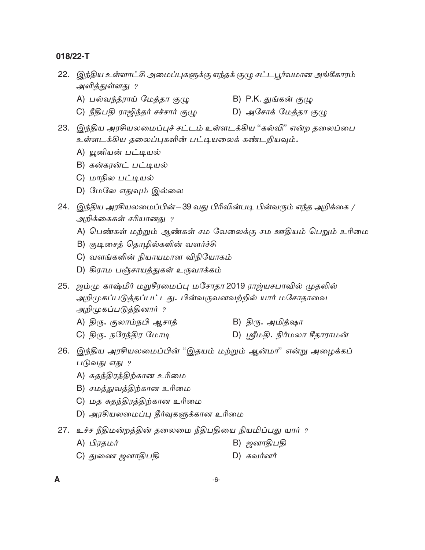- 22. இந்திய உள்ளாட்சி அமைப்புகளுக்கு எந்தக் குழு சட்டபூர்வமான அங்கீகாரம் அளித்துள்ளது ?
	- A) பல்வந்த்ராய் மேத்தா குழு
- B) P.K. துங்கன் குழு
	- C) நீதிபதி ராஜிந்தர் சச்சார் குழு D) அசோக் மேத்தா குழு
- 23. இந்திய அரசியலமைப்புச் சட்டம் உள்ளடக்கிய ''கல்வி'' என்ற தலைப்பை உள்ளடக்கிய தலைப்புகளின் பட்டியலைக் கண்டறியவும்.
	- A) யூனியன் பட்டியல்
	- B) கன்கரன்ட் பட்டியல்
	- C) மாநில பட்டியல்
	- D) மேலே எதுவும் இல்லை
- 24. இந்திய அரசியலமைப்பின்–39 வது பிரிவின்படி பின்வரும் எந்த அறிக்கை / அறிக்கைகள் சரியானது ?
	- A) பெண்கள் மற்றும் ஆண்கள் சம வேலைக்கு சம ஊதியம் பெறும் உரிமை
	- B) குடிசைத் தொழில்களின் வளர்ச்சி
	- C) வளங்களின் நியாயமான விநியோகம்
	- D) கிராம பஞ்சாயத்துகள் உருவாக்கம்
- 25. ஜம்மு காஷ்மீர் மறுசீரமைப்பு மசோதா 2019 ராஜ்யசபாவில் முதலில் அறிமுகப்படுத்தப்பட்டது. பின்வருவனவற்றில் யார் மசோதாவை அறிமுகப்படுத்தினார் ?
	- B) திரு. அமித்ஷா A) திரு. குலாம்நபி ஆசாத்
	- $C$ )  $\mathfrak{G}_{\langle \mathcal{T}_1,\mathcal{T}_2\rangle}$   $\mathfrak{G}_{\langle \mathcal{T}_1,\mathcal{T}_2\rangle}$   $\mathfrak{G}_{\langle \mathcal{T}_1,\mathcal{T}_2\rangle}$ D) ஸ்ரீமதி. நிர்மலா சீதாராமன்
- 26. இந்திய அரசியலமைப்பின் ''இதயம் மற்றும் ஆன்மா'' என்று அழைக்கப் படுவது எது ?
	- A) சுதந்திரத்திற்கான உரிமை
	- B) சமத்துவத்திற்கான உரிமை
	- C) மத சுதந்திரத்திற்கான உரிமை
	- D) அரசியலமைப்பு தீர்வுகளுக்கான உரிமை
- 27. உச்ச நீதிமன்றத்தின் தலைமை நீதிபதியை நியமிப்பது யார் ?
	- A) பிரதமர் B) ஜனாதிபதி
	- C) துணை ஜனாதிபதி  $D)$  கவர்னர்
- $\blacktriangle$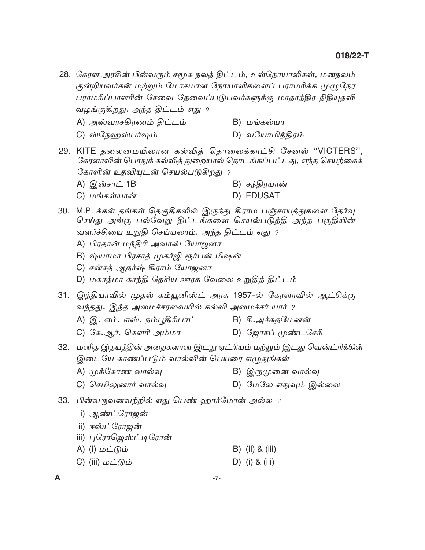- 28. கேரள அரசின் பின்வரும் சமூக நலத் திட்டம், உள்நோயாளிகள், மனநலம் குன்றியவர்கள் மற்றும் மோசமான நோயாளிகளைப் பராமரிக்க முழுநேர பராமரிப்பாளரின் சேவை தேவைப்படுபவர்களுக்கு மாதாந்திர நிதியுதவி வழங்குகிறது. அந்த திட்டம் எது ?
	- A) அஸ்வாசகிரணம் திட்டம்  $B)$  மங்கல்யா
	- D) வயோமித்திரம் C) ஸ்நேஹஸ்பர்ஷம்
- 29. KITE தலைமையிலான கல்வித் தொலைக்காட்சி சேனல் "VICTERS", கேரளாவின் பொதுக் கல்வித் துறையால் தொடங்கப்பட்டது, எந்த செயற்கைக் கோளின் உதவியுடன் செயல்படுகிறது ﹖ B) சந்திரயான் A) இன்சாட் 1B
	- D) EDUSAT C) மங்கள்யான்
- 30. M.P. க்கள் தங்கள் தெகுதிகளில் இருந்து கிராம பஞ்சாயத்துகளை தேர்வு செய்து அங்கு பல்வேறு திட்டங்களை செயல்படுத்தி அந்த பகுதியின் வளர்ச்சியை உறுதி செய்யலாம். அந்த திட்டம் எது ?
	- A) பிரதான் மந்திரி அவாஸ் யோஜனா
	- B) ஷ்யாமா பிரசாத் முகர்ஜி ரூர்பன் மிஷன்
	- C) சன்சத் ஆதர்ஷ் கிராம் யோஜனா
	- D) மகாத்மா காந்தி தேசிய ஊரக வேலை உறுதித் திட்டம்
- 31. இந்தியாவில் முதல் கம்யூனிஸ்ட் அரசு 1957-ல் கேரளாவில் ஆட்சிக்கு வந்தது. இந்த அமைச்சரவையில் கல்வி அமைச்சர் யார் ?
	- A) இ. எம். எஸ். நம்பூதிரிபாட் B) சி.அச்சுதமேனன்
	- C) கே.ஆர். கௌரி அம்மா D) ஜோசப் முண்டசேரி
- 32. மனித இதயத்தின் அறைகளான இடது ஏட்ரியம் மற்றும் இடது வென்ட்ரிக்கிள் இடையே காணப்படும் வால்வின் பெயரை எழுதுங்கள்
	- A) முக்கோண வால்வு B) இருமுனை வால்வு
	- C) செமிலுனார் வால்வு D) மேலே எதுவும் இல்லை
- 33. பின்வருவனவற்றில் எது பெண் ஹார்மோன் அல்ல ?
	- i) ஆண்ட்ரோஜன்
	- ii) ஈஸ்ட்ரோஜன்
	- iii) புரோஜெஸ்ட்டிரோன்
	- A) (i) மட்டும்  $B)$  (ii) & (iii)
	- C) (iii)  $\omega \angle$  ( $\partial \omega$ D) (i) & (iii)

 $-7-$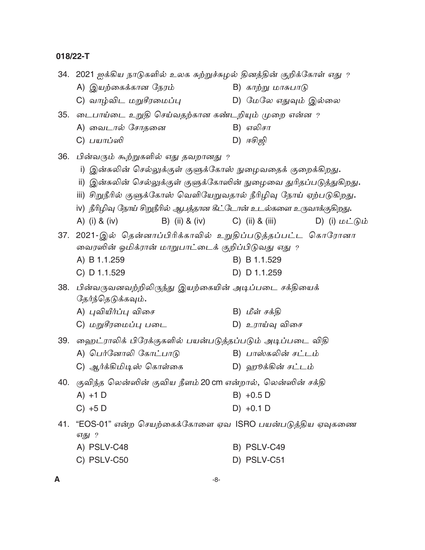|     | 34.  2021 ஐக்கிய நாடுகளில் உலக சுற்றுச்சுழல் தினத்தின் குறிக்கோள் எது ?       |                                                                                   |  |  |  |  |  |  |
|-----|-------------------------------------------------------------------------------|-----------------------------------------------------------------------------------|--|--|--|--|--|--|
|     | A) இயற்கைக்கான நேரம்                                                          | B) காற்று மாசுபாடு                                                                |  |  |  |  |  |  |
|     | C) வாழ்விட மறுசீரமைப்பு                                                       | D) மேலே எதுவும் இல்லை                                                             |  |  |  |  |  |  |
|     |                                                                               | 35.  டைபாய்டை உறுதி செய்வதற்கான கண்டறியும் முறை என்ன $\it$                        |  |  |  |  |  |  |
|     | A) வைடால் சோதனை                                                               | B) எலிசா                                                                          |  |  |  |  |  |  |
|     | C) <i>பயாப்ஸி</i>                                                             | $D)$ $\pi$ சிஜி                                                                   |  |  |  |  |  |  |
|     | 36. பின்வரும் கூற்றுகளில் எது தவறானது ?                                       |                                                                                   |  |  |  |  |  |  |
|     | இன்சுலின் செல்லுக்குள் குளுக்கோஸ் நுழைவதைக் குறைக்கிறது.<br>i)                |                                                                                   |  |  |  |  |  |  |
|     | ii) இன்சுலின் செல்லுக்குள் குளுக்கோஸின் நுழைவை துரிதப்படுத்துகிறது <b>.</b>   |                                                                                   |  |  |  |  |  |  |
|     | iii) சிறுநீரில் குளுக்கோஸ் வெளியேறுவதால் நீரிழிவு நோய் ஏற்படுகிறது <b>.</b>   |                                                                                   |  |  |  |  |  |  |
|     | iv) நீரிழிவு நோய் சிறுநீரில் ஆபத்தான கீட்டோன் உடல்களை உருவாக்குகிறது <b>.</b> |                                                                                   |  |  |  |  |  |  |
|     | A) (i) & (iv)<br>B) (ii) & (iv)                                               | $C)$ (ii) & (iii)<br>$D)$ (i) $\mathbf{L} \mathbf{L}$ (b) $\mathbf{L} \mathbf{L}$ |  |  |  |  |  |  |
|     | 37. 2021-இல் தென்னாப்பிரிக்காவில் உறுதிப்படுத்தப்பட்ட கொரோனா                  |                                                                                   |  |  |  |  |  |  |
|     | வைரஸின் ஓமிக்ரான் மாறுபாட்டைக் குறிப்பிடுவது எது ?                            |                                                                                   |  |  |  |  |  |  |
|     | A) B 1.1.259                                                                  | B) B 1.1.529                                                                      |  |  |  |  |  |  |
|     | C) D 1.1.529                                                                  | D) D 1.1.259                                                                      |  |  |  |  |  |  |
| 38. | பின்வருவனவற்றிலிருந்து இயற்கையின் அடிப்படை சக்தியைக்                          |                                                                                   |  |  |  |  |  |  |
|     | தேர்ந்தெடுக்கவும்.                                                            |                                                                                   |  |  |  |  |  |  |
|     | A) புவியீர்ப்பு விசை                                                          | B) மீள் சக்தி                                                                     |  |  |  |  |  |  |
|     | C) மறுசீரமைப்பு படை                                                           | D) உராய்வு விசை                                                                   |  |  |  |  |  |  |
|     | 39.   ஹைட்ராலிக் பிரேக்குகளில் பயன்படுத்தப்படும் அடிப்படை விதி                |                                                                                   |  |  |  |  |  |  |
|     | A) பெர்னோலி கோட்பாடு                                                          | B) பாஸ்கலின் சட்டம்                                                               |  |  |  |  |  |  |
|     | C) ஆர்க்கிமிடிஸ் கொள்கை                                                       | D) ஹூக்கின் சட்டம்                                                                |  |  |  |  |  |  |
|     | 40. குவிந்த லென்ஸின் குவிய நீளம் 20 cm என்றால், லென்ஸின் சக்தி                |                                                                                   |  |  |  |  |  |  |
|     | $A) + 1$ D                                                                    | $B) +0.5 D$                                                                       |  |  |  |  |  |  |
|     | $C) + 5D$                                                                     | $D) +0.1 D$                                                                       |  |  |  |  |  |  |
|     | 41. "EOS-01" என்ற செயற்கைக்கோளை ஏவ ISRO பயன்படுத்திய ஏவுகணை<br>எது ?          |                                                                                   |  |  |  |  |  |  |
|     | A) PSLV-C48                                                                   | B) PSLV-C49                                                                       |  |  |  |  |  |  |
|     | C) PSLV-C50                                                                   | D) PSLV-C51                                                                       |  |  |  |  |  |  |

 $\mathsf{A}$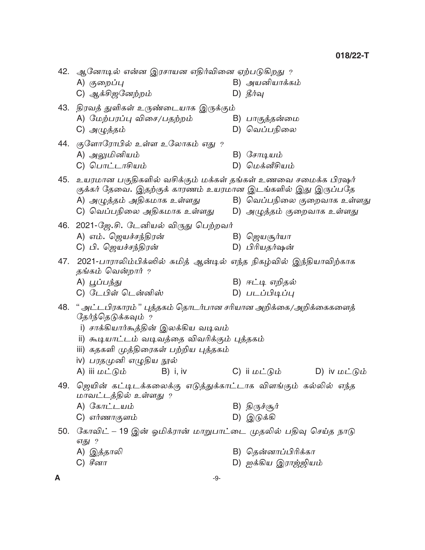|     | 42.  ஆனோடில் என்ன இரசாயன எதிர்வினை ஏற்படுகிறது $\,$ ?       |            |  |                                                                      |  |
|-----|-------------------------------------------------------------|------------|--|----------------------------------------------------------------------|--|
|     | A) குறைப்பு                                                 |            |  | B) அயனியாக்கம்                                                       |  |
|     | C) ஆக்சிஜனேற்றம்                                            |            |  | D) தீர்வு                                                            |  |
|     | 43.   திரவத் துளிகள் உருண்டையாக இருக்கும்                   |            |  |                                                                      |  |
|     | A) மேற்பரப்பு விசை/பதற்றம்                                  |            |  | B) பாகுத்தன்மை                                                       |  |
|     | C) அழுத்தம்                                                 |            |  | D) வெப்பநிலை                                                         |  |
|     | 44. குளோரோபில் உள்ள உலோகம் எது ?                            |            |  |                                                                      |  |
|     | A) அலுமினியம்                                               |            |  | $B)$ <i>Сетцші</i>                                                   |  |
|     | C) பொட்டாசியம்                                              |            |  | D) மெக்னீசியம்                                                       |  |
|     |                                                             |            |  | 45.   உயரமான பகுதிகளில் வசிக்கும் மக்கள் தங்கள் உணவை சமைக்க பிரஷர்   |  |
|     |                                                             |            |  | குக்கர் தேவை. இதற்குக் காரணம் உயரமான இடங்களில் இது இருப்பதே          |  |
|     | A) அழுத்தம் அதிகமாக உள்ளது                                  |            |  | B) வெப்பநிலை குறைவாக உள்ளது                                          |  |
|     |                                                             |            |  |                                                                      |  |
|     | 46. 2021-ஜே.சி. டேனியல் விருது பெற்றவர்                     |            |  |                                                                      |  |
|     | A) எம். ஜெயச்சந்திரன்                                       |            |  | B) <i>ஜெயசூர்யா</i>                                                  |  |
|     | C) பி. ஜெயச்சந்திரன்                                        |            |  | D) பிரியதர்ஷன்                                                       |  |
| 47. | தங்கம் வென்றார் ?                                           |            |  | 2021-பாராலிம்பிக்ஸில் சுமித் ஆன்டில் எந்த நிகழ்வில் இந்தியாவிற்காக   |  |
|     | A) பூப்பந்து                                                |            |  | B) ஈட்டி எறிதல்                                                      |  |
|     | C) டேபிள் டென்னிஸ்                                          |            |  | D) படப்பிடிப்பு                                                      |  |
|     | தேர்ந்தெடுக்கவும் ?                                         |            |  | 48. " அட்டபிரகாரம்" புத்தகம் தொடர்பான சரியான அறிக்கை/அறிக்கைகளைத்    |  |
|     | i) சாக்கியார்கூத்தின் இலக்கிய வடிவம்                        |            |  |                                                                      |  |
|     | ii) கூடியாட்டம் வடிவத்தை விவரிக்கும் புத்தகம்               |            |  |                                                                      |  |
|     | iii) கதகளி முத்திரைகள் பற்றிய புத்தகம்                      |            |  |                                                                      |  |
|     | iv) பரதமுனி எழுதிய நூல்                                     |            |  |                                                                      |  |
|     | A) iii மட்டும்                                              | $B)$ i, iv |  | C) ii மட்டும்<br>D) iv $\mathbf{L} \cup \mathbf{L}$ (b) $\mathbf{L}$ |  |
| 49. | மாவட்டத்தில் உள்ளது ?                                       |            |  | ஜெயின் கட்டிடக்கலைக்கு எடுத்துக்காட்டாக விளங்கும் கல்லில் எந்த       |  |
|     | А) $G\pi L$ шம்                                             |            |  | B) திருச்சூர்                                                        |  |
|     | C) எர்ணாகுளம்                                               |            |  | $D)$ இடுக்கி                                                         |  |
| 50. | எது ?                                                       |            |  | கோவிட் – 19 இன் ஓமிக்ரான் மாறுபாட்டை முதலில் பதிவு செய்த நாடு        |  |
|     | A) இத்தாலி                                                  |            |  | B) தென்னாப்பிரிக்கா                                                  |  |
|     | C) $\mathscr{F}_{\mathsf{c}\mathsf{d}\mathsf{T}\mathsf{T}}$ |            |  | D) ஐக்கிய இராஜ்ஜியம்                                                 |  |
| A   |                                                             | $-9-$      |  |                                                                      |  |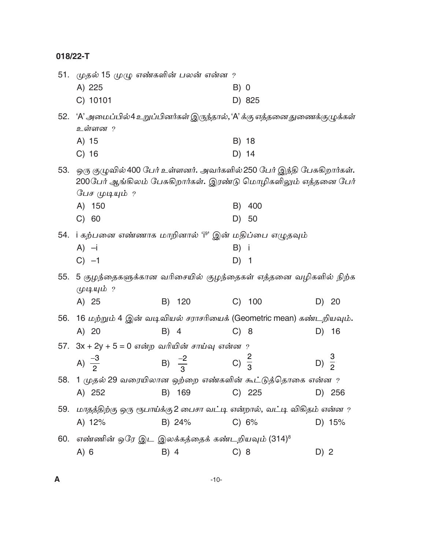|     | 51. முதல் 15 முழு எண்களின் பலன் என்ன ?<br>A) 225                                                                                                           |                                    | B) 0           |              |                  |        |
|-----|------------------------------------------------------------------------------------------------------------------------------------------------------------|------------------------------------|----------------|--------------|------------------|--------|
| 52. | C) 10101<br>'A' அமைப்பில்4 உறுப்பினர்கள் இருந்தால், 'A' க்கு எத்தனை துணைக்குழுக்கள்<br>உள்ளன ?                                                             |                                    |                | D) 825       |                  |        |
|     | A) 15<br>$C)$ 16                                                                                                                                           |                                    | B) 18<br>D) 14 |              |                  |        |
| 53. | ஒரு குழுவில் 400 பேர் உள்ளனர். அவர்களில் 250 பேர் இந்தி பேசுகிறார்கள்.<br>200பேர் ஆங்கிலம் பேசுகிறார்கள். இரண்டு மொழிகளிலும் எத்தனை பேர்<br>பேச முடியும் ? |                                    |                |              |                  |        |
|     | A) 150<br>C) 60                                                                                                                                            |                                    | B)             | 400<br>D) 50 |                  |        |
|     | 54. i கற்பனை எண்ணாக மாறினால் 'iº' இன் மதிப்பை எழுதவும்                                                                                                     |                                    |                |              |                  |        |
|     | $A) -i$<br>$C) -1$                                                                                                                                         |                                    | B) i<br>$D)$ 1 |              |                  |        |
|     | 55. 5 குழந்தைகளுக்கான வரிசையில் குழந்தைகள் எத்தனை வழிகளில் நிற்க<br>முடியும் ?                                                                             |                                    |                |              |                  |        |
|     | A) 25                                                                                                                                                      | C) 100<br>B) 120                   |                |              |                  | D) 20  |
|     | 56. 16 மற்றும் 4 இன் வடிவியல் சராசரியைக் (Geometric mean) கண்டறியவும்.                                                                                     |                                    |                |              |                  |        |
|     | A) 20                                                                                                                                                      | B) 4                               | C) 8           |              |                  | D) 16  |
|     | 57. $3x + 2y + 5 = 0$ என்ற வரியின் சாய்வு என்ன ?                                                                                                           |                                    |                |              |                  |        |
|     | A) $\frac{-3}{2}$                                                                                                                                          | B) $\frac{-2}{3}$ C) $\frac{2}{3}$ |                |              | D) $\frac{3}{2}$ |        |
|     | 58. 1 முதல் 29 வரையிலான ஒற்றை எண்களின் கூட்டுத்தொகை என்ன ?                                                                                                 |                                    |                |              |                  |        |
|     | A) 252                                                                                                                                                     | B) 169                             |                | $C)$ 225     |                  | D) 256 |
| 59. | மாதத்திற்கு ஒரு ரூபாய்க்கு 2 பைசா வட்டி என்றால், வட்டி விகிதம் என்ன ?                                                                                      |                                    |                |              |                  |        |
|     | A) $12%$                                                                                                                                                   | B) 24%                             |                | C) 6%        |                  | D) 15% |
|     | 60. எண்ணின் ஒரே இட இலக்கத்தைக் கண்டறியவும் (314) <sup>8</sup>                                                                                              |                                    |                |              |                  |        |
|     | A) 6                                                                                                                                                       | B) 4                               | C) 8           |              | D) 2             |        |

 $\mathbf{A}$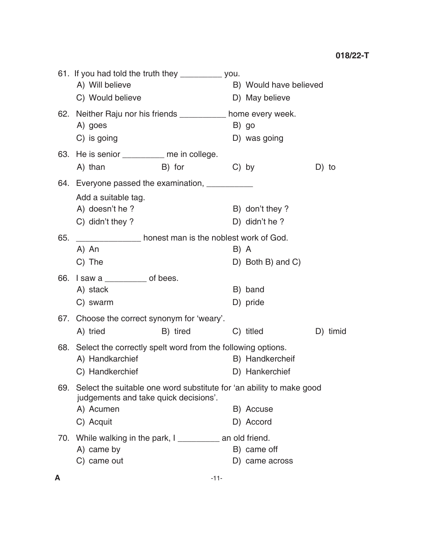|     | 61. If you had told the truth they __________ you.<br>A) Will believe<br>C) Would believe                         |          |         | B) Would have believed<br>D) May believe |          |
|-----|-------------------------------------------------------------------------------------------------------------------|----------|---------|------------------------------------------|----------|
|     | 62. Neither Raju nor his friends ___________ home every week.<br>A) goes                                          |          |         | B) go                                    |          |
|     | C) is going                                                                                                       |          |         | D) was going                             |          |
|     | 63. He is senior _________ me in college.                                                                         |          |         |                                          |          |
|     | A) than                                                                                                           | B) for   | $C)$ by |                                          | D) to    |
|     | 64. Everyone passed the examination, ___________                                                                  |          |         |                                          |          |
|     | Add a suitable tag.                                                                                               |          |         |                                          |          |
|     | A) doesn't he?                                                                                                    |          |         | B) don't they?                           |          |
|     | C) didn't they ?                                                                                                  |          |         | D) didn't he?                            |          |
| 65. | nonest man is the noblest work of God.                                                                            |          |         |                                          |          |
|     | A) An                                                                                                             |          | B) A    |                                          |          |
|     | C) The                                                                                                            |          |         | D) Both B) and C)                        |          |
|     | 66. I saw a $\frac{1}{2}$ of bees.                                                                                |          |         |                                          |          |
|     | A) stack                                                                                                          |          |         | B) band                                  |          |
|     | C) swarm                                                                                                          |          |         | D) pride                                 |          |
|     | 67. Choose the correct synonym for 'weary'.                                                                       |          |         |                                          |          |
|     | A) tried                                                                                                          | B) tired |         | C) titled                                | D) timid |
|     | 68. Select the correctly spelt word from the following options.                                                   |          |         |                                          |          |
|     | A) Handkarchief                                                                                                   |          |         | B) Handkercheif                          |          |
|     | C) Handkerchief                                                                                                   |          |         | D) Hankerchief                           |          |
|     | 69. Select the suitable one word substitute for 'an ability to make good<br>judgements and take quick decisions'. |          |         |                                          |          |
|     | A) Acumen                                                                                                         |          |         | B) Accuse                                |          |
|     | C) Acquit                                                                                                         |          |         | D) Accord                                |          |
|     | 70. While walking in the park, I ___________ an old friend.                                                       |          |         |                                          |          |
|     | A) came by                                                                                                        |          |         | B) came off                              |          |
|     | C) came out                                                                                                       |          |         | D) came across                           |          |
|     |                                                                                                                   |          |         |                                          |          |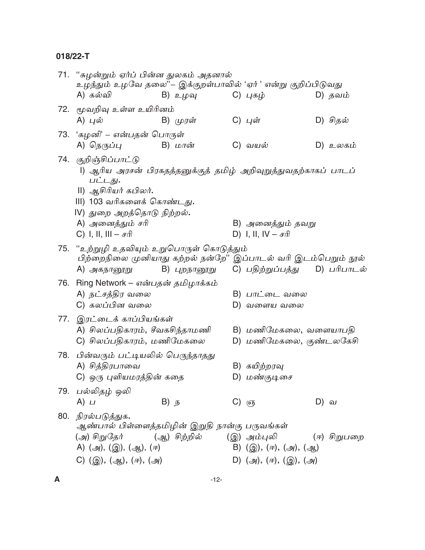|     | 71.  "சுழன்றும் ஏர்ப் பின்ன துலகம் அதனால்<br>உழந்தும் உழவே தலை''– இக்குறள்பாவில் 'ஏர் ' என்று குறிப்பிடுவது                                                                            |                   |  |                                                   |             |             |
|-----|----------------------------------------------------------------------------------------------------------------------------------------------------------------------------------------|-------------------|--|---------------------------------------------------|-------------|-------------|
|     | A) கல்வி                                                                                                                                                                               | B) உழவு           |  | C) புகழ்                                          |             | D) தவம்     |
|     | 72. மூவறிவு உள்ள உயிரினம்<br>A) புல்                                                                                                                                                   | B) முரள்          |  | C) புள்                                           |             | D) சிதல்    |
|     | 73. 'கழனி' – என்பதன் பொருள்                                                                                                                                                            |                   |  |                                                   |             |             |
|     | A) நெருப்பு                                                                                                                                                                            | B) மான்           |  | C) வயல்                                           |             | D) உலகம்    |
|     | 74. குறிஞ்சிப்பாட்டு<br>l) ஆரிய அரசன் பிரகதத்தனுக்குத் தமிழ் அறிவுறுத்துவதற்காகப் பாடப்<br>பட்டது.<br>II) ஆசிரியர் கபிலர்.<br>III) 103 வரிகளைக் கொண்டது.<br>IV) துறை அறத்தொடு நிற்றல். |                   |  |                                                   |             |             |
|     | A) அனைத்தும் சரி<br>C) I, II, III – $\sigma \hat{n}$                                                                                                                                   |                   |  | B) அனைத்தும் தவறு<br>D) I, II, $IV - \pi \hat{n}$ |             |             |
| 75. | "உற்றுழி உதவியும் உறுபொருள் கொடுத்தும்                                                                                                                                                 |                   |  |                                                   |             |             |
|     | பிற்றைநிலை முனியாது கற்றல் நன்றே'' இப்பாடல் வரி இடம்பெறும் நூல்<br>A) அகநானூறு                                                                                                         | B) புறநானூறு      |  | C) பதிற்றுப்பத்து                                 |             | D) பரிபாடல் |
|     | 76.   Ring Network – என்பதன் தமிழாக்கம்                                                                                                                                                |                   |  |                                                   |             |             |
|     | A) நட்சத்திர வலை                                                                                                                                                                       |                   |  | B) பாட்டை வலை                                     |             |             |
|     | C) கலப்பின வலை                                                                                                                                                                         |                   |  | D) வளைய வலை                                       |             |             |
|     | 77.   இரட்டைக் காப்பியங்கள்<br>A) சிலப்பதிகாரம், சீவகசிந்தாமணி<br>C) சிலப்பதிகாரம், மணிமேகலை                                                                                           |                   |  | B) மணிமேகலை, வளையாபதி<br>D) மணிமேகலை, குண்டலகேசி  |             |             |
|     | 78.   பின்வரும் பட்டியலில் பெருந்தாதது                                                                                                                                                 |                   |  |                                                   |             |             |
|     | A) சித்திரபாவை                                                                                                                                                                         |                   |  | B) கயிற்றரவு                                      |             |             |
|     | C) ஒரு புளியமரத்தின் கதை                                                                                                                                                               |                   |  | D) மண்குடிசை                                      |             |             |
|     | 79. பல்லிதழ் ஒலி                                                                                                                                                                       |                   |  |                                                   |             |             |
|     | A) $\mu$                                                                                                                                                                               | B) $\overline{B}$ |  | $C)$ $\sigma$                                     | D) <i>வ</i> |             |
|     | 80. நிரல்படுத்துக.<br>ஆண்பால் பிள்ளைத்தமிழின் இறுதி நான்கு பருவங்கள்<br>(அ) சிறுதேர்<br>A) $(2y)$ , $(2y)$ , $(2y)$ , $(7r)$                                                           | (ஆ) சிற்றில்      |  | (இ) அம்புலி<br>B) $(g), (\pi), (g), (g)$          |             | (ஈ) சிறுபறை |
|     | C) $(g)$ , $(g)$ , $(r)$ , $(g)$                                                                                                                                                       |                   |  | D) $(2)$ , $(\pi)$ , $(2)$ , $(2)$                |             |             |
|     |                                                                                                                                                                                        |                   |  |                                                   |             |             |
| A   |                                                                                                                                                                                        | $-12-$            |  |                                                   |             |             |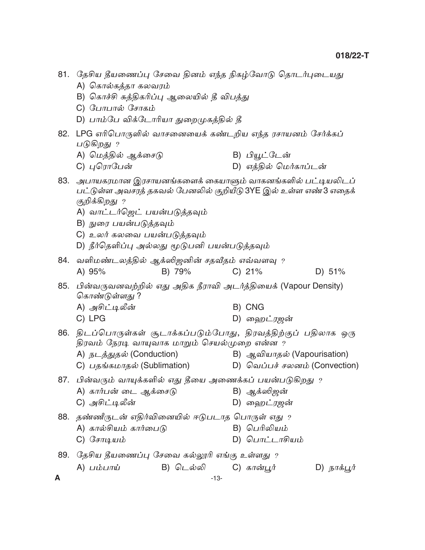|     | 81. தேசிய தீயணைப்பு சேவை தினம் எந்த நிகழ்வோடு தொடர்புடையது<br>A) கொல்கத்தா கலவரம்<br>B) கொச்சி சுத்திகரிப்பு ஆலையில் தீ விபத்து<br>C) போபால் சோகம்<br>D) பாம்பே விக்டோரியா துறைமுகத்தில் தீ                                                                                                |                                                              |             |
|-----|--------------------------------------------------------------------------------------------------------------------------------------------------------------------------------------------------------------------------------------------------------------------------------------------|--------------------------------------------------------------|-------------|
|     | 82. LPG எரிபொருளில் வாசனையைக் கண்டறிய எந்த ரசாயனம் சேர்க்கப்<br>படுகிறது ?<br>A) மெத்தில் ஆக்சைடு<br>C) புரொபேன்                                                                                                                                                                           | B) பியூட்டேன்<br>D) எத்தில் மெர்காப்டன்                      |             |
|     | 83. அபாயகரமான இரசாயனங்களைக் கையாளும் வாகனங்களில் பட்டியலிடப்<br>பட்டுள்ள அவசரத் தகவல் பேனலில் குறியீடு 3YE இல் உள்ள எண்3 எதைக்<br>குறிக்கிறது ?<br>A) வாட்டர்ஜெட் பயன்படுத்தவும்<br>B) நுரை பயன்படுத்தவும்<br>C) உலர் கலவை பயன்படுத்தவும்<br>D) நீர்தெளிப்பு அல்லது மூடுபனி பயன்படுத்தவும் |                                                              |             |
| 84. | வளிமண்டலத்தில் ஆக்ஸிஜனின் சதவீதம் எவ்வளவு ?<br>B) 79%<br>A) 95%                                                                                                                                                                                                                            | $C)$ 21%                                                     | D) 51%      |
| 85. | பின்வருவனவற்றில் எது அதிக நீராவி அடர்த்தியைக் (Vapour Density)<br>கொண்டுள்ளது ?<br>A) அசிட்டிலீன்<br>C) LPG                                                                                                                                                                                | B) CNG<br>D) ஹைட்ரஜன்                                        |             |
|     | 86. திடப்பொருள்கள் சூடாக்கப்படும்போது, திரவத்திற்குப் பதிலாக ஒரு<br>திரவம் நேரடி வாயுவாக மாறும் செயல்முறை என்ன ?<br>A) நடத்துதல் (Conduction)<br>C) பதங்கமாதல் (Sublimation)                                                                                                               | B) ஆவியாதல் (Vapourisation)<br>D) வெப்பச் சலனம் (Convection) |             |
|     | 87. பின்வரும் வாயுக்களில் எது தீயை அணைக்கப் பயன்படுகிறது ?<br>A) கார்பன் டை ஆக்சைடு<br>C) அசிட்டிலீன்                                                                                                                                                                                      | B) ஆக்ஸிஜன்<br>D) ஹைட்ரஜன்                                   |             |
| 88. | ்தண்ணீருடன் எதிர்வினையில் ஈடுபடாத பொருள் எது உ<br>A) கால்சியம் கார்பைடு<br>C) சோடியம்                                                                                                                                                                                                      | B) பெரிலியம்<br>D) பொட்டாசியம்                               |             |
|     | 89. தேசிய தீயணைப்பு சேவை கல்லூரி எங்கு உள்ளது ?                                                                                                                                                                                                                                            |                                                              |             |
| A   | B) டெல்லி C) கான்பூர்<br>$A)$ பம்பாய்<br>$-13-$                                                                                                                                                                                                                                            |                                                              | D) நாக்பூர் |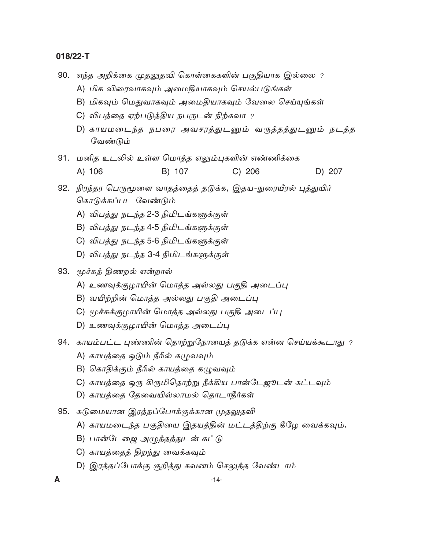90. எந்த அறிக்கை முதலுதவி கொள்கைகளின் பகுதியாக இல்லை ?

- A) மிக விரைவாகவும் அமைதியாகவும் செயல்படுங்கள்
- B) மிகவும் மெதுவாகவும் அமைதியாகவும் வேலை செய்யுங்கள்
- C) விபத்தை ஏற்படுத்திய நபருடன் நிற்கவா ?
- D) காயமடைந்த நபரை அவசரத்துடனும் வருத்தத்துடனும் நடத்த வேண்டும்
- 91. மனித உடலில் உள்ள மொத்த எலும்புகளின் எண்ணிக்கை A) 106 B) 107 D) 207  $C) 206$
- 92. நிரந்தர பெருமூளை வாதத்தைத் தடுக்க, இதய-நுரையீரல் புத்துயிர் கொடுக்கப்பட வேண்டும்
	- A) விபத்து நடந்த 2-3 நிமிடங்களுக்குள்
	- B) விபத்து நடந்த 4-5 நிமிடங்களுக்குள்
	- C) விபத்து நடந்த 5-6 நிமிடங்களுக்குள்
	- D) விபத்து நடந்த 3-4 நிமிடங்களுக்குள்
- 93. மூச்சுத் திணறல் என்றால்
	- A) உணவுக்குழாயின் மொத்த அல்லது பகுதி அடைப்பு
	- B) வயிற்றின் மொத்த அல்லது பகுதி அடைப்பு
	- C) மூச்சுக்குழாயின் மொத்த அல்லது பகுதி அடைப்பு
	- D) உணவுக்குழாயின் மொத்த அடைப்பு
- 94. காயம்பட்ட புண்ணின் தொற்றுநோயைத் தடுக்க என்ன செய்யக்கூடாது ?
	- A) காயத்தை ஓடும் நீரில் கழுவவும்
	- B) கொதிக்கும் நீரில் காயத்தை கமுவவும்
	- C) காயத்தை ஒரு கிருமிதொற்று நீக்கிய பான்டேஜூடன் கட்டவும்
	- D) காயத்தை தேவையில்லாமல் தொடாதீர்கள்
- 95. கடுமையான இரத்தப்போக்குக்கான முதலுதவி
	- A) காயமடைந்த பகுதியை இதயத்தின் மட்டத்திற்கு கீழே வைக்கவும்**.**
	- B) பான்டேஜை அழுத்தத்துடன் கட்டு
	- C) காயத்தைத் திறந்து வைக்கவும்
	- D) இரத்தப்போக்கு குறித்து கவனம் செலுத்த வேண்டாம்

 $\blacktriangle$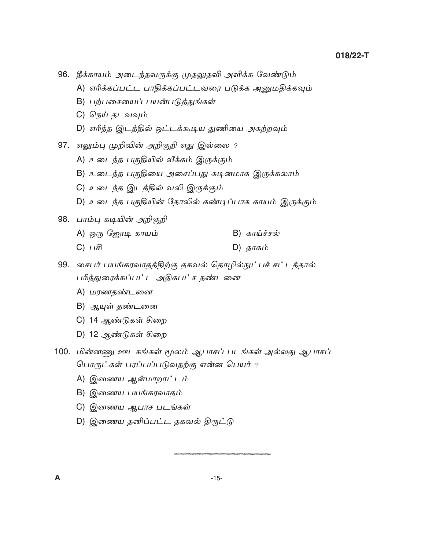96. தீக்காயம் அடைந்தவருக்கு முதலுதவி அளிக்க வேண்டும்

- A) எரிக்கப்பட்ட பாதிக்கப்பட்டவரை படுக்க அனுமதிக்கவும்
- B) பற்பசையைப் பயன்படுத்துங்கள்
- C) நெய் தடவவும்
- D) எரிந்த இடத்தில் ஒட்டக்கூடிய துணியை அகற்றவும்
- 97. எலும்பு முறிவின் அறிகுறி எது இல்லை ?
	- A) உடைந்த பகுதியில் வீக்கம் இருக்கும்
	- B) உடைந்த பகுதியை அசைப்பது கடினமாக இருக்கலாம்
	- C) உடைந்த இடத்தில் வலி இருக்கும்
	- D) உடைந்த பகுதியின் தோலில் கண்டிப்பாக காயம் இருக்கும்

 $D)$  தாகம்

98. பாம்பு கடியின் அறிகுறி

- $A)$  ஒரு ஜோடி காயம்  $B)$  காய்ச்சல்
- $C)$   $\sqcup$   $\widehat{F}$
- 99. சைபர் பயங்கரவாதத்திற்கு தகவல் தொழில்நுட்பச் சட்டத்தால் பரிந்துரைக்கப்பட்ட அதிகபட்ச தண்டனை
	- A) மரணதண்டனை
	- B) ஆயுள் தண்டனை
	- C) 14 ஆண்டுகள் சிறை
	- D) 12 ஆண்டுகள் சிறை
- 100. மின்னணு ஊடகங்கள் மூலம் ஆபாசப் படங்கள் அல்லது ஆபாசப் பொருட்கள் பரப்பப்படுவதற்கு என்ன பெயர் ?
	- A) இணைய ஆள்மாறாட்டம்
	- B) இணைய பயங்கரவாதம்
	- C) இணைய ஆபாச படங்கள்
	- D) இணைய தனிப்பட்ட தகவல் திருட்டு